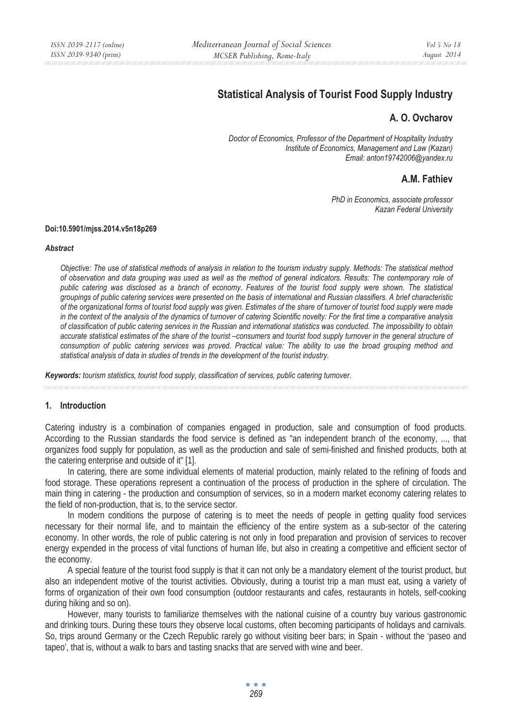# **Statistical Analysis of Tourist Food Supply Industry**

# **Ȼ. ɉ. Ovcharov**

*Doctor of Economics, Professor of the Department of Hospitality Industry Institute of Economics, Management and Law (Kazan) Email: anton19742006@yandex.ru* 

# **A.M. Fathiev**

*PhD in Economics, associate professor Kazan Federal University* 

#### **Doi:10.5901/mjss.2014.v5n18p269**

#### *Abstract*

*Objective: The use of statistical methods of analysis in relation to the tourism industry supply. Methods: The statistical method of observation and data grouping was used as well as the method of general indicators. Results: The contemporary role of public catering was disclosed as a branch of economy. Features of the tourist food supply were shown. The statistical groupings of public catering services were presented on the basis of international and Russian classifiers. A brief characteristic of the organizational forms of tourist food supply was given. Estimates of the share of turnover of tourist food supply were made in the context of the analysis of the dynamics of turnover of catering Scientific novelty: For the first time a comparative analysis of classification of public catering services in the Russian and international statistics was conducted. The impossibility to obtain accurate statistical estimates of the share of the tourist –consumers and tourist food supply turnover in the general structure of consumption of public catering services was proved. Practical value: The ability to use the broad grouping method and statistical analysis of data in studies of trends in the development of the tourist industry.* 

*Keywords: tourism statistics, tourist food supply, classification of services, public catering turnover.*

#### **1. Introduction**

Catering industry is a combination of companies engaged in production, sale and consumption of food products. According to the Russian standards the food service is defined as "an independent branch of the economy, ..., that organizes food supply for population, as well as the production and sale of semi-finished and finished products, both at the catering enterprise and outside of it" [1].

In catering, there are some individual elements of material production, mainly related to the refining of foods and food storage. These operations represent a continuation of the process of production in the sphere of circulation. The main thing in catering - the production and consumption of services, so in a modern market economy catering relates to the field of non-production, that is, to the service sector.

In modern conditions the purpose of catering is to meet the needs of people in getting quality food services necessary for their normal life, and to maintain the efficiency of the entire system as a sub-sector of the catering economy. In other words, the role of public catering is not only in food preparation and provision of services to recover energy expended in the process of vital functions of human life, but also in creating a competitive and efficient sector of the economy.

A special feature of the tourist food supply is that it can not only be a mandatory element of the tourist product, but also an independent motive of the tourist activities. Obviously, during a tourist trip a man must eat, using a variety of forms of organization of their own food consumption (outdoor restaurants and cafes, restaurants in hotels, self-cooking during hiking and so on).

However, many tourists to familiarize themselves with the national cuisine of a country buy various gastronomic and drinking tours. During these tours they observe local customs, often becoming participants of holidays and carnivals. So, trips around Germany or the Czech Republic rarely go without visiting beer bars; in Spain - without the 'paseo and tapeo', that is, without a walk to bars and tasting snacks that are served with wine and beer.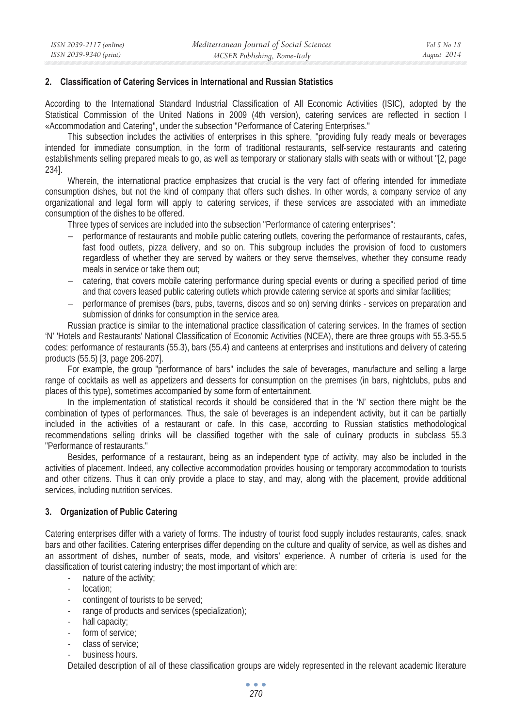### **2. Classification of Catering Services in International and Russian Statistics**

According to the International Standard Industrial Classification of All Economic Activities (ISIC), adopted by the Statistical Commission of the United Nations in 2009 (4th version), catering services are reflected in section I «Accommodation and Catering", under the subsection "Performance of Catering Enterprises."

This subsection includes the activities of enterprises in this sphere, "providing fully ready meals or beverages intended for immediate consumption, in the form of traditional restaurants, self-service restaurants and catering establishments selling prepared meals to go, as well as temporary or stationary stalls with seats with or without "[2, page 234].

Wherein, the international practice emphasizes that crucial is the very fact of offering intended for immediate consumption dishes, but not the kind of company that offers such dishes. In other words, a company service of any organizational and legal form will apply to catering services, if these services are associated with an immediate consumption of the dishes to be offered.

Three types of services are included into the subsection "Performance of catering enterprises":

- − performance of restaurants and mobile public catering outlets, covering the performance of restaurants, cafes, fast food outlets, pizza delivery, and so on. This subgroup includes the provision of food to customers regardless of whether they are served by waiters or they serve themselves, whether they consume ready meals in service or take them out;
- − catering, that covers mobile catering performance during special events or during a specified period of time and that covers leased public catering outlets which provide catering service at sports and similar facilities;
- − performance of premises (bars, pubs, taverns, discos and so on) serving drinks services on preparation and submission of drinks for consumption in the service area.

Russian practice is similar to the international practice classification of catering services. In the frames of section 'N' 'Hotels and Restaurants' National Classification of Economic Activities (NCEA), there are three groups with 55.3-55.5 codes: performance of restaurants (55.3), bars (55.4) and canteens at enterprises and institutions and delivery of catering products (55.5) [3, page 206-207].

For example, the group "performance of bars" includes the sale of beverages, manufacture and selling a large range of cocktails as well as appetizers and desserts for consumption on the premises (in bars, nightclubs, pubs and places of this type), sometimes accompanied by some form of entertainment.

In the implementation of statistical records it should be considered that in the 'N' section there might be the combination of types of performances. Thus, the sale of beverages is an independent activity, but it can be partially included in the activities of a restaurant or cafe. In this case, according to Russian statistics methodological recommendations selling drinks will be classified together with the sale of culinary products in subclass 55.3 "Performance of restaurants."

Besides, performance of a restaurant, being as an independent type of activity, may also be included in the activities of placement. Indeed, any collective accommodation provides housing or temporary accommodation to tourists and other citizens. Thus it can only provide a place to stay, and may, along with the placement, provide additional services, including nutrition services.

# **3. Organization of Public Catering**

Catering enterprises differ with a variety of forms. The industry of tourist food supply includes restaurants, cafes, snack bars and other facilities. Catering enterprises differ depending on the culture and quality of service, as well as dishes and an assortment of dishes, number of seats, mode, and visitors' experience. A number of criteria is used for the classification of tourist catering industry; the most important of which are:

- nature of the activity;
- location:
- contingent of tourists to be served;
- range of products and services (specialization);
- hall capacity:
- form of service:
- class of service;
- business hours.

Detailed description of all of these classification groups are widely represented in the relevant academic literature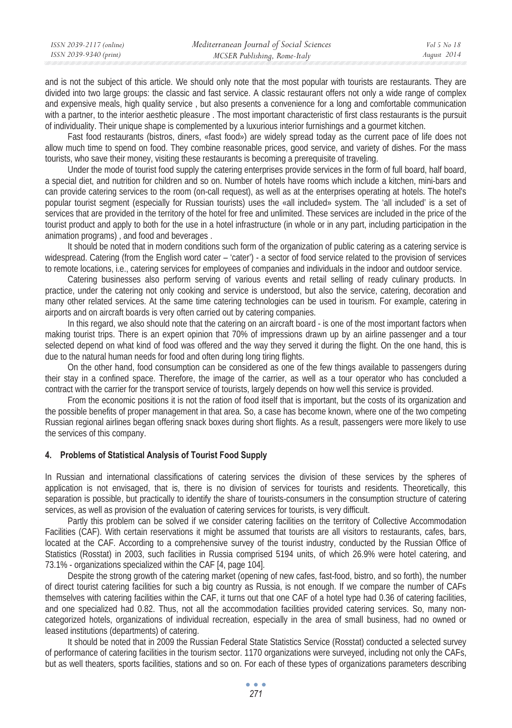| ISSN 2039-2117 (online) | Mediterranean Journal of Social Sciences | Vol 5 No 18 |
|-------------------------|------------------------------------------|-------------|
| ISSN 2039-9340 (print)  | MCSER Publishing, Rome-Italy             | August 2014 |
|                         |                                          |             |

and is not the subject of this article. We should only note that the most popular with tourists are restaurants. They are divided into two large groups: the classic and fast service. A classic restaurant offers not only a wide range of complex and expensive meals, high quality service , but also presents a convenience for a long and comfortable communication with a partner, to the interior aesthetic pleasure . The most important characteristic of first class restaurants is the pursuit of individuality. Their unique shape is complemented by a luxurious interior furnishings and a gourmet kitchen.

Fast food restaurants (bistros, diners, «fast food») are widely spread today as the current pace of life does not allow much time to spend on food. They combine reasonable prices, good service, and variety of dishes. For the mass tourists, who save their money, visiting these restaurants is becoming a prerequisite of traveling.

Under the mode of tourist food supply the catering enterprises provide services in the form of full board, half board, a special diet, and nutrition for children and so on. Number of hotels have rooms which include a kitchen, mini-bars and can provide catering services to the room (on-call request), as well as at the enterprises operating at hotels. The hotel's popular tourist segment (especially for Russian tourists) uses the «all included» system. The 'all included' is a set of services that are provided in the territory of the hotel for free and unlimited. These services are included in the price of the tourist product and apply to both for the use in a hotel infrastructure (in whole or in any part, including participation in the animation programs) , and food and beverages .

It should be noted that in modern conditions such form of the organization of public catering as a catering service is widespread. Catering (from the English word cater – 'cater') - a sector of food service related to the provision of services to remote locations, i.e., catering services for employees of companies and individuals in the indoor and outdoor service.

Catering businesses also perform serving of various events and retail selling of ready culinary products. In practice, under the catering not only cooking and service is understood, but also the service, catering, decoration and many other related services. At the same time catering technologies can be used in tourism. For example, catering in airports and on aircraft boards is very often carried out by catering companies.

In this regard, we also should note that the catering on an aircraft board - is one of the most important factors when making tourist trips. There is an expert opinion that 70% of impressions drawn up by an airline passenger and a tour selected depend on what kind of food was offered and the way they served it during the flight. On the one hand, this is due to the natural human needs for food and often during long tiring flights.

On the other hand, food consumption can be considered as one of the few things available to passengers during their stay in a confined space. Therefore, the image of the carrier, as well as a tour operator who has concluded a contract with the carrier for the transport service of tourists, largely depends on how well this service is provided.

From the economic positions it is not the ration of food itself that is important, but the costs of its organization and the possible benefits of proper management in that area. So, a case has become known, where one of the two competing Russian regional airlines began offering snack boxes during short flights. As a result, passengers were more likely to use the services of this company.

# **4. Problems of Statistical Analysis of Tourist Food Supply**

In Russian and international classifications of catering services the division of these services by the spheres of application is not envisaged, that is, there is no division of services for tourists and residents. Theoretically, this separation is possible, but practically to identify the share of tourists-consumers in the consumption structure of catering services, as well as provision of the evaluation of catering services for tourists, is very difficult.

Partly this problem can be solved if we consider catering facilities on the territory of Collective Accommodation Facilities (CAF). With certain reservations it might be assumed that tourists are all visitors to restaurants, cafes, bars, located at the CAF. According to a comprehensive survey of the tourist industry, conducted by the Russian Office of Statistics (Rosstat) in 2003, such facilities in Russia comprised 5194 units, of which 26.9% were hotel catering, and 73.1% - organizations specialized within the CAF [4, page 104].

Despite the strong growth of the catering market (opening of new cafes, fast-food, bistro, and so forth), the number of direct tourist catering facilities for such a big country as Russia, is not enough. If we compare the number of CAFs themselves with catering facilities within the CAF, it turns out that one CAF of a hotel type had 0.36 of catering facilities, and one specialized had 0.82. Thus, not all the accommodation facilities provided catering services. So, many noncategorized hotels, organizations of individual recreation, especially in the area of small business, had no owned or leased institutions (departments) of catering.

It should be noted that in 2009 the Russian Federal State Statistics Service (Rosstat) conducted a selected survey of performance of catering facilities in the tourism sector. 1170 organizations were surveyed, including not only the CAFs, but as well theaters, sports facilities, stations and so on. For each of these types of organizations parameters describing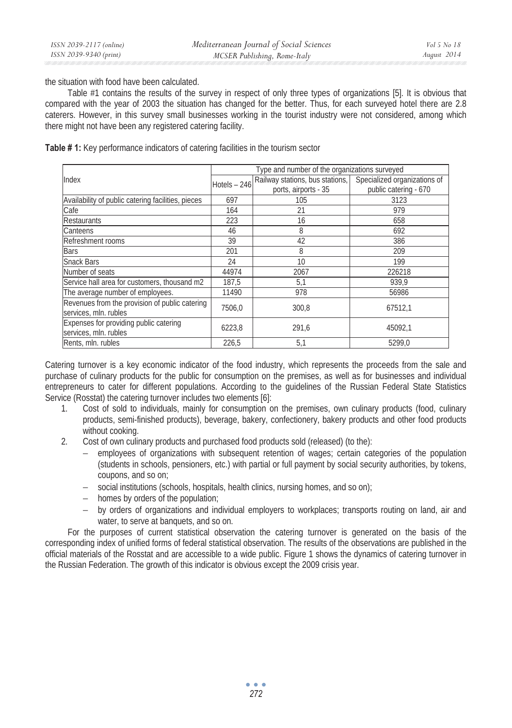the situation with food have been calculated.

Table #1 contains the results of the survey in respect of only three types of organizations [5]. It is obvious that compared with the year of 2003 the situation has changed for the better. Thus, for each surveyed hotel there are 2.8 caterers. However, in this survey small businesses working in the tourist industry were not considered, among which there might not have been any registered catering facility.

|                                                    | Type and number of the organizations surveyed |                                                              |                       |
|----------------------------------------------------|-----------------------------------------------|--------------------------------------------------------------|-----------------------|
| Index                                              | Hotels $-246$                                 | Railway stations, bus stations, Specialized organizations of |                       |
|                                                    |                                               | ports, airports - 35                                         | public catering - 670 |
| Availability of public catering facilities, pieces | 697                                           | 105                                                          | 3123                  |
| Cafe                                               | 164                                           | 21                                                           | 979                   |
| <b>Restaurants</b>                                 | 223                                           | 16                                                           | 658                   |
| Canteens                                           | 46                                            | 8                                                            | 692                   |
| Refreshment rooms                                  | 39                                            | 42                                                           | 386                   |
| Bars                                               | 201                                           | 8                                                            | 209                   |
| <b>Snack Bars</b>                                  | 24                                            | 10                                                           | 199                   |
| Number of seats                                    | 44974                                         | 2067                                                         | 226218                |
| Service hall area for customers, thousand m2       | 187,5                                         | 5,1                                                          | 939,9                 |
| The average number of employees.                   | 11490                                         | 978                                                          | 56986                 |
| Revenues from the provision of public catering     | 7506,0                                        | 300.8                                                        | 67512.1               |
| services, mln. rubles                              |                                               |                                                              |                       |
| Expenses for providing public catering             | 6223.8                                        | 291.6                                                        | 45092.1               |
| services, mln. rubles                              |                                               |                                                              |                       |
| Rents, mln. rubles                                 | 226,5                                         | 5,1                                                          | 5299.0                |

**Table # 1:** Key performance indicators of catering facilities in the tourism sector

Catering turnover is a key economic indicator of the food industry, which represents the proceeds from the sale and purchase of culinary products for the public for consumption on the premises, as well as for businesses and individual entrepreneurs to cater for different populations. According to the guidelines of the Russian Federal State Statistics Service (Rosstat) the catering turnover includes two elements [6]:

- 1. Cost of sold to individuals, mainly for consumption on the premises, own culinary products (food, culinary products, semi-finished products), beverage, bakery, confectionery, bakery products and other food products without cooking.
- 2. Cost of own culinary products and purchased food products sold (released) (to the):
	- − employees of organizations with subsequent retention of wages; certain categories of the population (students in schools, pensioners, etc.) with partial or full payment by social security authorities, by tokens, coupons, and so on;
	- − social institutions (schools, hospitals, health clinics, nursing homes, and so on);
	- − homes by orders of the population;
	- − by orders of organizations and individual employers to workplaces; transports routing on land, air and water, to serve at banquets, and so on.

For the purposes of current statistical observation the catering turnover is generated on the basis of the corresponding index of unified forms of federal statistical observation. The results of the observations are published in the official materials of the Rosstat and are accessible to a wide public. Figure 1 shows the dynamics of catering turnover in the Russian Federation. The growth of this indicator is obvious except the 2009 crisis year.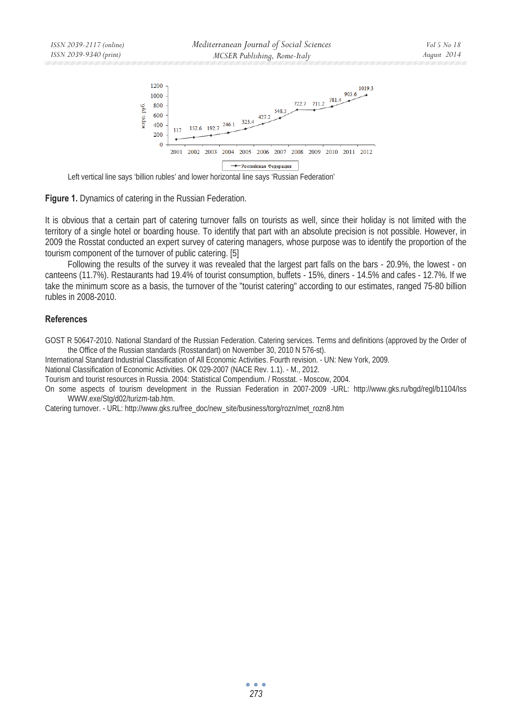

Left vertical line says 'billion rubles' and lower horizontal line says 'Russian Federation'

**Figure 1.** Dynamics of catering in the Russian Federation.

It is obvious that a certain part of catering turnover falls on tourists as well, since their holiday is not limited with the territory of a single hotel or boarding house. To identify that part with an absolute precision is not possible. However, in 2009 the Rosstat conducted an expert survey of catering managers, whose purpose was to identify the proportion of the tourism component of the turnover of public catering. [5]

Following the results of the survey it was revealed that the largest part falls on the bars - 20.9%, the lowest - on canteens (11.7%). Restaurants had 19.4% of tourist consumption, buffets - 15%, diners - 14.5% and cafes - 12.7%. If we take the minimum score as a basis, the turnover of the "tourist catering" according to our estimates, ranged 75-80 billion rubles in 2008-2010.

# **References**

GOST R 50647-2010. National Standard of the Russian Federation. Catering services. Terms and definitions (approved by the Order of the Office of the Russian standards (Rosstandart) on November 30, 2010 N 576-st).

International Standard Industrial Classification of All Economic Activities. Fourth revision. - UN: New York, 2009.

National Classification of Economic Activities. OK 029-2007 (NACE Rev. 1.1). - M., 2012.

Tourism and tourist resources in Russia. 2004: Statistical Compendium. / Rosstat. - Moscow, 2004.

On some aspects of tourism development in the Russian Federation in 2007-2009 -URL: http://www.gks.ru/bgd/regl/b1104/Iss WWW.exe/Stg/d02/turizm-tab.htm.

Catering turnover. - URL: http://www.gks.ru/free\_doc/new\_site/business/torg/rozn/met\_rozn8.htm